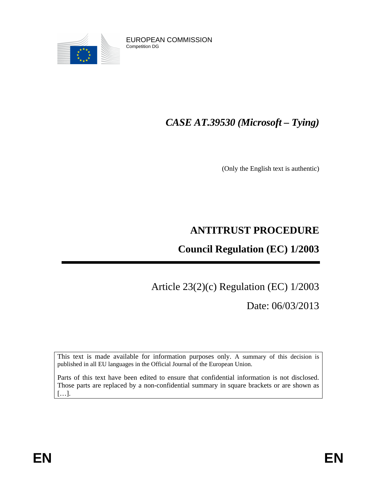



## *CASE AT.39530 (Microsoft – Tying)*

(Only the English text is authentic)

### **ANTITRUST PROCEDURE**

### **Council Regulation (EC) 1/2003**

# Article 23(2)(c) Regulation (EC) 1/2003

Date: 06/03/2013

This text is made available for information purposes only. A summary of this decision is published in all EU languages in the Official Journal of the European Union.

Parts of this text have been edited to ensure that confidential information is not disclosed. Those parts are replaced by a non-confidential summary in square brackets or are shown as […].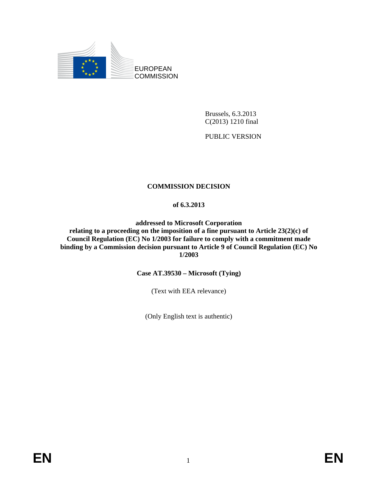

Brussels, 6.3.2013 C(2013) 1210 final

PUBLIC VERSION

#### **COMMISSION DECISION**

#### **of 6.3.2013**

**addressed to Microsoft Corporation relating to a proceeding on the imposition of a fine pursuant to Article 23(2)(c) of Council Regulation (EC) No 1/2003 for failure to comply with a commitment made binding by a Commission decision pursuant to Article 9 of Council Regulation (EC) No 1/2003**

**Case AT.39530 – Microsoft (Tying)**

(Text with EEA relevance)

(Only English text is authentic)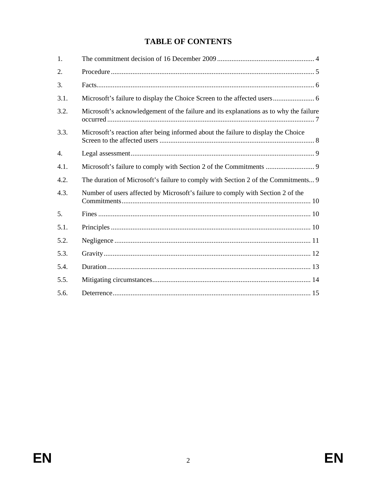### **TABLE OF CONTENTS**

| 1.   |                                                                                       |
|------|---------------------------------------------------------------------------------------|
| 2.   |                                                                                       |
| 3.   |                                                                                       |
| 3.1. |                                                                                       |
| 3.2. | Microsoft's acknowledgement of the failure and its explanations as to why the failure |
| 3.3. | Microsoft's reaction after being informed about the failure to display the Choice     |
| 4.   |                                                                                       |
| 4.1. |                                                                                       |
| 4.2. | The duration of Microsoft's failure to comply with Section 2 of the Commitments 9     |
| 4.3. | Number of users affected by Microsoft's failure to comply with Section 2 of the       |
| 5.   |                                                                                       |
| 5.1. |                                                                                       |
| 5.2. |                                                                                       |
| 5.3. |                                                                                       |
| 5.4. |                                                                                       |
| 5.5. |                                                                                       |
|      |                                                                                       |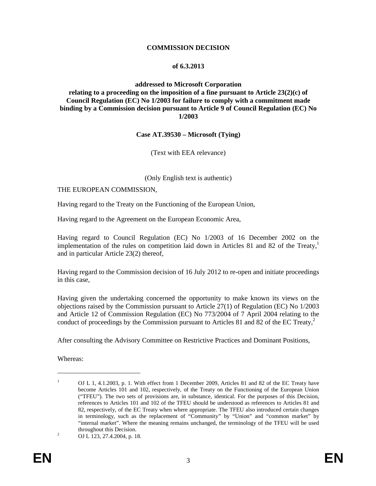#### **COMMISSION DECISION**

#### **of 6.3.2013**

#### **addressed to Microsoft Corporation relating to a proceeding on the imposition of a fine pursuant to Article 23(2)(c) of Council Regulation (EC) No 1/2003 for failure to comply with a commitment made binding by a Commission decision pursuant to Article 9 of Council Regulation (EC) No 1/2003**

#### **Case AT.39530 – Microsoft (Tying)**

(Text with EEA relevance)

#### (Only English text is authentic)

#### THE EUROPEAN COMMISSION,

Having regard to the Treaty on the Functioning of the European Union,

Having regard to the Agreement on the European Economic Area,

Having regard to Council Regulation (EC) No 1/2003 of 16 December 2002 on the implementation of the rules on competition laid down in Articles 81 and 82 of the Treaty, 1 and in particular Article 23(2) thereof,

Having regard to the Commission decision of 16 July 2012 to re-open and initiate proceedings in this case,

Having given the undertaking concerned the opportunity to make known its views on the objections raised by the Commission pursuant to Article 27(1) of Regulation (EC) No 1/2003 and Article 12 of Commission Regulation (EC) No 773/2004 of 7 April 2004 relating to the conduct of proceedings by the Commission pursuant to Articles 81 and 82 of the EC Treaty, 2

After consulting the Advisory Committee on Restrictive Practices and Dominant Positions,

Whereas:

<sup>&</sup>lt;sup>1</sup> OJ L 1, 4.1.2003, p. 1. With effect from 1 December 2009, Articles 81 and 82 of the EC Treaty have become Articles 101 and 102, respectively, of the Treaty on the Functioning of the European Union ("TFEU"). The two sets of provisions are, in substance, identical. For the purposes of this Decision, references to Articles 101 and 102 of the TFEU should be understood as references to Articles 81 and 82, respectively, of the EC Treaty when where appropriate. The TFEU also introduced certain changes in terminology, such as the replacement of "Community" by "Union" and "common market" by "internal market". Where the meaning remains unchanged, the terminology of the TFEU will be used throughout this Decision.

<sup>&</sup>lt;sup>2</sup> OJ L 123, 27.4.2004, p. 18.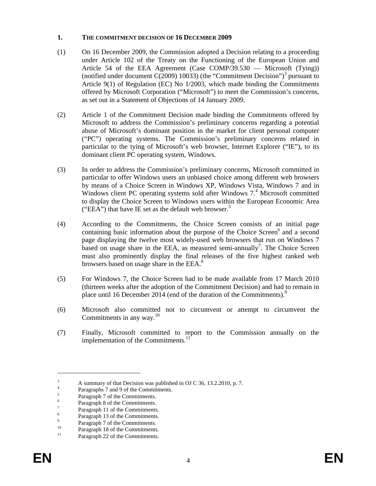#### **1. THE COMMITMENT DECISION OF 16 DECEMBER 2009**

- (1) On 16 December 2009, the Commission adopted a Decision relating to a proceeding under Article 102 of the Treaty on the Functioning of the European Union and Article 54 of the EEA Agreement (Case COMP/39.530 — Microsoft (Tying)) (notified under document  $C(2009)$  10033) (the "Commitment Decision")<sup>3</sup> pursuant to Article 9(1) of Regulation (EC) No 1/2003, which made binding the Commitments offered by Microsoft Corporation ("Microsoft") to meet the Commission's concerns, as set out in a Statement of Objections of 14 January 2009.
- (2) Article 1 of the Commitment Decision made binding the Commitments offered by Microsoft to address the Commission's preliminary concerns regarding a potential abuse of Microsoft's dominant position in the market for client personal computer ("PC") operating systems. The Commission's preliminary concerns related in particular to the tying of Microsoft's web browser, Internet Explorer ("IE"), to its dominant client PC operating system, Windows.
- (3) In order to address the Commission's preliminary concerns, Microsoft committed in particular to offer Windows users an unbiased choice among different web browsers by means of a Choice Screen in Windows XP, Windows Vista, Windows 7 and in Windows client PC operating systems sold after Windows 7.<sup>4</sup> Microsoft committed to display the Choice Screen to Windows users within the European Economic Area ("EEA") that have IE set as the default web browser.<sup>5</sup>
- (4) According to the Commitments, the Choice Screen consists of an initial page containing basic information about the purpose of the Choice Screen $<sup>6</sup>$  and a second</sup> page displaying the twelve most widely-used web browsers that run on Windows 7 based on usage share in the EEA, as measured semi-annually<sup>7</sup>. The Choice Screen must also prominently display the final releases of the five highest ranked web browsers based on usage share in the EEA.<sup>8</sup>
- (5) For Windows 7, the Choice Screen had to be made available from 17 March 2010 (thirteen weeks after the adoption of the Commitment Decision) and had to remain in place until 16 December 2014 (end of the duration of the Commitments).<sup>9</sup>
- (6) Microsoft also committed not to circumvent or attempt to circumvent the Commitments in any way. $^{10}$
- (7) Finally, Microsoft committed to report to the Commission annually on the implementation of the Commitments.<sup>11</sup>

<sup>&</sup>lt;sup>3</sup> A summary of that Decision was published in OJ C 36, 13.2.2010, p. 7. 4

Paragraphs 7 and 9 of the Commitments.

<sup>5</sup> Paragraph 7 of the Commitments.

<sup>6</sup> Paragraph 8 of the Commitments.

<sup>7</sup> Paragraph 11 of the Commitments.

<sup>8</sup> Paragraph 13 of the Commitments.  $\overline{Q}$ 

Paragraph 7 of the Commitments.

<sup>&</sup>lt;sup>10</sup> Paragraph 18 of the Commitments.

Paragraph 22 of the Commitments.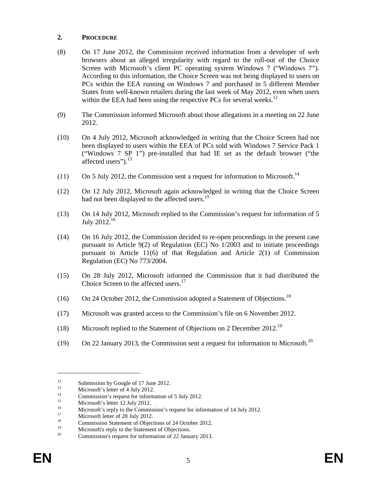#### **2. PROCEDURE**

- (8) On 17 June 2012, the Commission received information from a developer of web browsers about an alleged irregularity with regard to the roll-out of the Choice Screen with Microsoft's client PC operating system Windows 7 ("Windows 7"). According to this information, the Choice Screen was not being displayed to users on PCs within the EEA running on Windows 7 and purchased in 5 different Member States from well-known retailers during the last week of May 2012, even when users within the EEA had been using the respective PCs for several weeks.<sup>12</sup>
- (9) The Commission informed Microsoft about those allegations in a meeting on 22 June 2012.
- (10) On 4 July 2012, Microsoft acknowledged in writing that the Choice Screen had not been displayed to users within the EEA of PCs sold with Windows 7 Service Pack 1 ("Windows 7 SP 1") pre-installed that had IE set as the default browser ("the affected users").<sup>13</sup>
- $(11)$  On 5 July 2012, the Commission sent a request for information to Microsoft.<sup>14</sup>
- (12) On 12 July 2012, Microsoft again acknowledged in writing that the Choice Screen had not been displayed to the affected users.<sup>15</sup>
- (13) On 14 July 2012, Microsoft replied to the Commission's request for information of 5 July 2012.<sup>16</sup>
- (14) On 16 July 2012, the Commission decided to re-open proceedings in the present case pursuant to Article 9(2) of Regulation (EC) No 1/2003 and to initiate proceedings pursuant to Article 11(6) of that Regulation and Article 2(1) of Commission Regulation (EC) No 773/2004.
- (15) On 28 July 2012, Microsoft informed the Commission that it had distributed the Choice Screen to the affected users.<sup>17</sup>
- (16) On 24 October 2012, the Commission adopted a Statement of Objections.<sup>18</sup>
- (17) Microsoft was granted access to the Commission's file on 6 November 2012.
- (18) Microsoft replied to the Statement of Objections on 2 December 2012.<sup>19</sup>
- (19) On 22 January 2013, the Commission sent a request for information to Microsoft.<sup>20</sup>

<sup>&</sup>lt;sup>12</sup> Submission by Google of 17 June 2012.<br>
Minneap<sup>2</sup> electron of 4 July 2012.

 $\frac{13}{14}$  Microsoft's letter of 4 July 2012.

<sup>&</sup>lt;sup>14</sup> Commission's request for information of 5 July 2012.

<sup>&</sup>lt;sup>15</sup> Microsoft's letter 12 July 2012.

<sup>&</sup>lt;sup>16</sup> Microsoft's reply to the Commission's request for information of 14 July 2012.

 $\frac{17}{18}$  Microsoft letter of 28 July 2012.

<sup>&</sup>lt;sup>18</sup> Commission Statement of Objections of 24 October 2012.

<sup>&</sup>lt;sup>19</sup> Microsoft's reply to the Statement of Objections.

<sup>20</sup> Commission's request for information of 22 January 2013.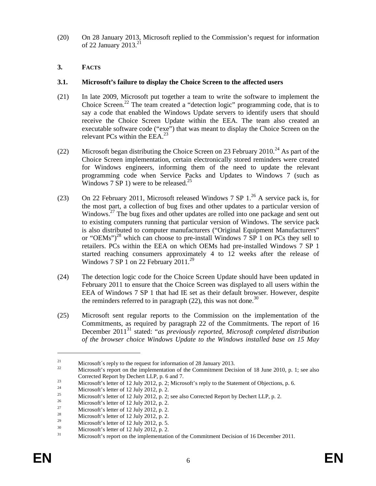(20) On 28 January 2013, Microsoft replied to the Commission's request for information of 22 January 2013. 21

#### **3. FACTS**

#### **3.1. Microsoft's failure to display the Choice Screen to the affected users**

- (21) In late 2009, Microsoft put together a team to write the software to implement the Choice Screen. <sup>22</sup> The team created a "detection logic" programming code, that is to say a code that enabled the Windows Update servers to identify users that should receive the Choice Screen Update within the EEA. The team also created an executable software code ("exe") that was meant to display the Choice Screen on the relevant PCs within the EEA.<sup>23</sup>
- (22) Microsoft began distributing the Choice Screen on 23 February 2010.<sup>24</sup> As part of the Choice Screen implementation, certain electronically stored reminders were created for Windows engineers, informing them of the need to update the relevant programming code when Service Packs and Updates to Windows 7 (such as Windows  $7 \text{ SP} 1$ ) were to be released.<sup>25</sup>
- (23) On 22 February 2011, Microsoft released Windows 7 SP  $1.^{26}$  A service pack is, for the most part, a collection of bug fixes and other updates to a particular version of Windows.<sup>27</sup> The bug fixes and other updates are rolled into one package and sent out to existing computers running that particular version of Windows. The service pack is also distributed to computer manufacturers ("Original Equipment Manufacturers" or "OEMs")<sup>28</sup> which can choose to pre-install Windows  $7 \text{ } SP$  1 on PCs they sell to retailers. PCs within the EEA on which OEMs had pre-installed Windows 7 SP 1 started reaching consumers approximately 4 to 12 weeks after the release of Windows 7 SP 1 on 22 February 2011.<sup>29</sup>
- (24) The detection logic code for the Choice Screen Update should have been updated in February 2011 to ensure that the Choice Screen was displayed to all users within the EEA of Windows 7 SP 1 that had IE set as their default browser. However, despite the reminders referred to in paragraph  $(22)$ , this was not done.<sup>30</sup>
- (25) Microsoft sent regular reports to the Commission on the implementation of the Commitments, as required by paragraph 22 of the Commitments. The report of 16 December 2011<sup>31</sup> stated: "*as previously reported, Microsoft completed distribution of the browser choice Windows Update to the Windows installed base on 15 May*

<sup>&</sup>lt;sup>21</sup> Microsoft´s reply to the request for information of 28 January 2013.

<sup>22</sup> Microsoft's report on the implementation of the Commitment Decision of 18 June 2010, p. 1; see also Corrected Report by Dechert LLP, p. 6 and 7.

<sup>23</sup> Microsoft's letter of 12 July 2012, p. 2; Microsoft's reply to the Statement of Objections, p. 6.<br>
Microsoft's letter of 12 July 2012, p. 2; Microsoft's reply to the Statement of Objections, p. 6.

<sup>&</sup>lt;sup>24</sup> Microsoft's letter of 12 July 2012, p. 2.<br>Microsoft's letter of 12 July 2012, p. 2.

<sup>&</sup>lt;sup>25</sup> Microsoft's letter of 12 July 2012, p. 2; see also Corrected Report by Dechert LLP, p. 2.

<sup>&</sup>lt;sup>26</sup> Microsoft's letter of 12 July 2012, p. 2.<br>Microsoft's letter of 12 July 2012, p. 2.

<sup>27</sup> Microsoft's letter of 12 July 2012, p. 2.<br>
28 Microsoft 2014, p. 2.

<sup>&</sup>lt;sup>28</sup> Microsoft's letter of 12 July 2012, p. 2.<br><sup>29</sup> Microsoft's letter of 12 July 2012, p. 2.

<sup>&</sup>lt;sup>29</sup><br>Microsoft's letter of 12 July 2012, p. 5.<br>Microsoft's letter of 12 July 2012, p. 2.

 $\frac{30}{31}$  Microsoft's letter of 12 July 2012, p. 2.

<sup>31</sup> Microsoft's report on the implementation of the Commitment Decision of 16 December 2011.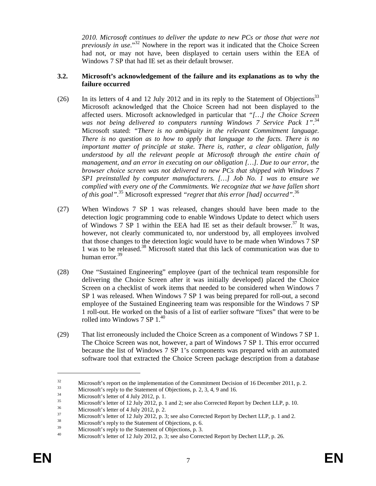*2010. Microsoft continues to deliver the update to new PCs or those that were not previously in use*." <sup>32</sup> Nowhere in the report was it indicated that the Choice Screen had not, or may not have, been displayed to certain users within the EEA of Windows 7 SP that had IE set as their default browser.

#### **3.2. Microsoft's acknowledgement of the failure and its explanations as to why the failure occurred**

- (26) In its letters of 4 and 12 July 2012 and in its reply to the Statement of Objections<sup>33</sup> Microsoft acknowledged that the Choice Screen had not been displayed to the affected users. Microsoft acknowledged in particular that *"[…] the Choice Screen was not being delivered to computers running Windows 7 Service Pack 1"*. 34 Microsoft stated: *"There is no ambiguity in the relevant Commitment language. There is no question as to how to apply that language to the facts. There is no important matter of principle at stake. There is, rather, a clear obligation, fully understood by all the relevant people at Microsoft through the entire chain of management, and an error in executing on our obligation […]. Due to our error, the browser choice screen was not delivered to new PCs that shipped with Windows 7 SP1 preinstalled by computer manufacturers. […] Job No. 1 was to ensure we complied with every one of the Commitments. We recognize that we have fallen short of this goal"*. <sup>35</sup> Microsoft expressed *"regret that this error [had] occurred"*. 36
- (27) When Windows 7 SP 1 was released, changes should have been made to the detection logic programming code to enable Windows Update to detect which users of Windows 7 SP 1 within the EEA had IE set as their default browser. <sup>37</sup> It was, however, not clearly communicated to, nor understood by, all employees involved that those changes to the detection logic would have to be made when Windows 7 SP 1 was to be released.<sup>38</sup> Microsoft stated that this lack of communication was due to human error. 39
- (28) One "Sustained Engineering" employee (part of the technical team responsible for delivering the Choice Screen after it was initially developed) placed the Choice Screen on a checklist of work items that needed to be considered when Windows 7 SP 1 was released. When Windows 7 SP 1 was being prepared for roll-out, a second employee of the Sustained Engineering team was responsible for the Windows 7 SP 1 roll-out. He worked on the basis of a list of earlier software "fixes" that were to be rolled into Windows 7 SP  $1.^{40}$
- (29) That list erroneously included the Choice Screen as a component of Windows 7 SP 1. The Choice Screen was not, however, a part of Windows 7 SP 1. This error occurred because the list of Windows 7 SP 1's components was prepared with an automated software tool that extracted the Choice Screen package description from a database

 $\frac{32}{33}$  Microsoft's report on the implementation of the Commitment Decision of 16 December 2011, p. 2.

 $\frac{33}{14}$  Microsoft's reply to the Statement of Objections, p. 2, 3, 4, 9 and 16.

 $\frac{34}{35}$  Microsoft's letter of 4 July 2012, p. 1.

 $\frac{35}{36}$  Microsoft's letter of 12 July 2012, p. 1 and 2; see also Corrected Report by Dechert LLP, p. 10.

 $^{36}$  Microsoft's letter of 4 July 2012, p. 2.<br> $^{37}$ 

 $\frac{37}{18}$  Microsoft's letter of 12 July 2012, p. 3; see also Corrected Report by Dechert LLP, p. 1 and 2.

 $\frac{38}{39}$  Microsoft's reply to the Statement of Objections, p. 6.<br>Microsoft's reply to the Statement of Objections, p. 2.

 $\frac{39}{40}$  Microsoft's reply to the Statement of Objections, p. 3.

Microsoft's letter of 12 July 2012, p. 3; see also Corrected Report by Dechert LLP, p. 26.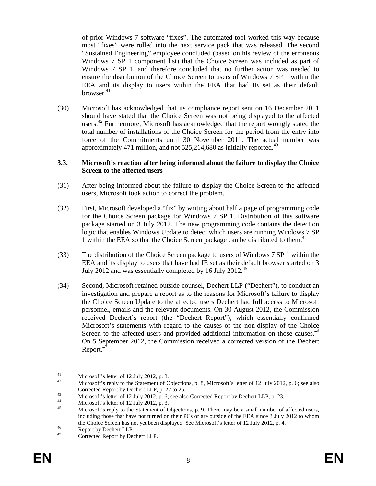of prior Windows 7 software "fixes". The automated tool worked this way because most "fixes" were rolled into the next service pack that was released. The second "Sustained Engineering" employee concluded (based on his review of the erroneous Windows 7 SP 1 component list) that the Choice Screen was included as part of Windows 7 SP 1, and therefore concluded that no further action was needed to ensure the distribution of the Choice Screen to users of Windows 7 SP 1 within the EEA and its display to users within the EEA that had IE set as their default browser. 41

(30) Microsoft has acknowledged that its compliance report sent on 16 December 2011 should have stated that the Choice Screen was not being displayed to the affected users.<sup>42</sup> Furthermore, Microsoft has acknowledged that the report wrongly stated the total number of installations of the Choice Screen for the period from the entry into force of the Commitments until 30 November 2011. The actual number was approximately 471 million, and not  $525,214,680$  as initially reported.<sup>43</sup>

#### **3.3. Microsoft's reaction after being informed about the failure to display the Choice Screen to the affected users**

- (31) After being informed about the failure to display the Choice Screen to the affected users, Microsoft took action to correct the problem.
- (32) First, Microsoft developed a "fix" by writing about half a page of programming code for the Choice Screen package for Windows 7 SP 1. Distribution of this software package started on 3 July 2012. The new programming code contains the detection logic that enables Windows Update to detect which users are running Windows 7 SP 1 within the EEA so that the Choice Screen package can be distributed to them.<sup>44</sup>
- (33) The distribution of the Choice Screen package to users of Windows 7 SP 1 within the EEA and its display to users that have had IE set as their default browser started on 3 July 2012 and was essentially completed by 16 July 2012.<sup>45</sup>
- (34) Second, Microsoft retained outside counsel, Dechert LLP ("Dechert"), to conduct an investigation and prepare a report as to the reasons for Microsoft's failure to display the Choice Screen Update to the affected users Dechert had full access to Microsoft personnel, emails and the relevant documents. On 30 August 2012, the Commission received Dechert's report (the "Dechert Report"), which essentially confirmed Microsoft's statements with regard to the causes of the non-display of the Choice Screen to the affected users and provided additional information on those causes.<sup>46</sup> On 5 September 2012, the Commission received a corrected version of the Dechert Report.<sup>47</sup>

<sup>&</sup>lt;sup>41</sup><br>Microsoft's letter of 12 July 2012, p. 3.<br>Microsoft's reply to the Statement of O

Microsoft's reply to the Statement of Objections, p. 8, Microsoft's letter of 12 July 2012, p. 6; see also Corrected Report by Dechert LLP, p. 22 to 25.

<sup>43</sup> Microsoft's letter of 12 July 2012, p. 6; see also Corrected Report by Dechert LLP, p. 23.

<sup>&</sup>lt;sup>44</sup><br>Microsoft's letter of 12 July 2012, p. 3.<br>Microsoft's probable to the Statement of G

Microsoft's reply to the Statement of Objections, p. 9. There may be a small number of affected users, including those that have not turned on their PCs or are outside of the EEA since 3 July 2012 to whom the Choice Screen has not yet been displayed. See Microsoft's letter of 12 July 2012, p. 4.

 $^{46}$  Report by Dechert LLP.

Corrected Report by Dechert LLP.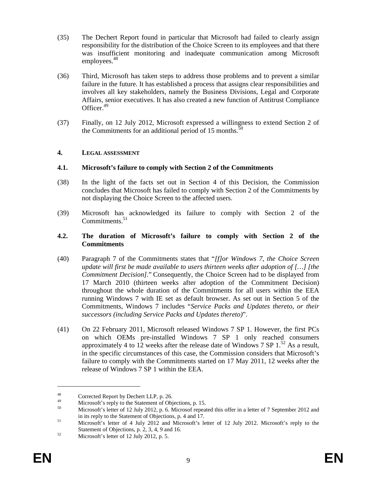- (35) The Dechert Report found in particular that Microsoft had failed to clearly assign responsibility for the distribution of the Choice Screen to its employees and that there was insufficient monitoring and inadequate communication among Microsoft employees.<sup>48</sup>
- (36) Third, Microsoft has taken steps to address those problems and to prevent a similar failure in the future. It has established a process that assigns clear responsibilities and involves all key stakeholders, namely the Business Divisions, Legal and Corporate Affairs, senior executives. It has also created a new function of Antitrust Compliance Officer. 49
- (37) Finally, on 12 July 2012, Microsoft expressed a willingness to extend Section 2 of the Commitments for an additional period of 15 months. $50$

#### **4. LEGAL ASSESSMENT**

#### **4.1. Microsoft's failure to comply with Section 2 of the Commitments**

- (38) In the light of the facts set out in Section 4 of this Decision, the Commission concludes that Microsoft has failed to comply with Section 2 of the Commitments by not displaying the Choice Screen to the affected users.
- (39) Microsoft has acknowledged its failure to comply with Section 2 of the Commitments.<sup>51</sup>

#### **4.2. The duration of Microsoft's failure to comply with Section 2 of the Commitments**

- (40) Paragraph 7 of the Commitments states that "*[f]or Windows 7, the Choice Screen update will first be made available to users thirteen weeks after adoption of […] [the Commitment Decision].*" Consequently, the Choice Screen had to be displayed from 17 March 2010 (thirteen weeks after adoption of the Commitment Decision) throughout the whole duration of the Commitments for all users within the EEA running Windows 7 with IE set as default browser. As set out in Section 5 of the Commitments, Windows 7 includes "*Service Packs and Updates thereto, or their successors (including Service Packs and Updates thereto)*".
- (41) On 22 February 2011, Microsoft released Windows 7 SP 1. However, the first PCs on which OEMs pre-installed Windows 7 SP 1 only reached consumers approximately 4 to 12 weeks after the release date of Windows 7 SP  $1.^{52}$  As a result, in the specific circumstances of this case, the Commission considers that Microsoft's failure to comply with the Commitments started on 17 May 2011, 12 weeks after the release of Windows 7 SP 1 within the EEA.

<sup>&</sup>lt;sup>48</sup> Corrected Report by Dechert LLP, p. 26.

<sup>&</sup>lt;sup>49</sup><br>Microsoft's reply to the Statement of Objections, p. 15.<br>Microsoft's latter of 12 July 2012, p. 6. Microsoftname

<sup>50</sup> Microsoft's letter of 12 July 2012, p. 6. Microsof repeated this offer in a letter of 7 September 2012 and in its reply to the Statement of Objections, p. 4 and 17.

<sup>&</sup>lt;sup>51</sup> Microsoft's letter of 4 July 2012 and Microsoft's letter of 12 July 2012. Microsoft's reply to the Statement of Objections, p. 2, 3, 4, 9 and 16.

 $\frac{52}{100}$  Microsoft's letter of 12 July 2012, p. 5.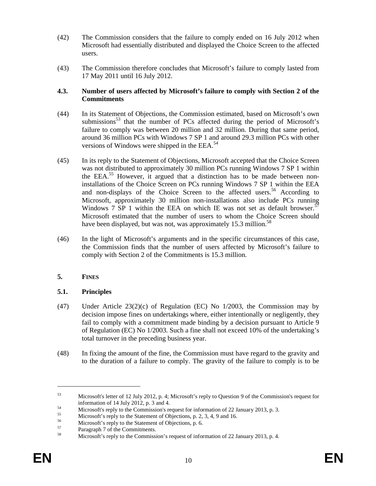- (42) The Commission considers that the failure to comply ended on 16 July 2012 when Microsoft had essentially distributed and displayed the Choice Screen to the affected users.
- (43) The Commission therefore concludes that Microsoft's failure to comply lasted from 17 May 2011 until 16 July 2012.

#### **4.3. Number of users affected by Microsoft's failure to comply with Section 2 of the Commitments**

- (44) In its Statement of Objections, the Commission estimated, based on Microsoft's own submissions<sup>53</sup> that the number of PCs affected during the period of Microsoft's failure to comply was between 20 million and 32 million. During that same period, around 36 million PCs with Windows 7 SP 1 and around 29.3 million PCs with other versions of Windows were shipped in the EEA.<sup>54</sup>
- (45) In its reply to the Statement of Objections, Microsoft accepted that the Choice Screen was not distributed to approximately 30 million PCs running Windows 7 SP 1 within the EEA.<sup>55</sup> However, it argued that a distinction has to be made between noninstallations of the Choice Screen on PCs running Windows 7 SP 1 within the EEA and non-displays of the Choice Screen to the affected users. <sup>56</sup> According to Microsoft, approximately 30 million non-installations also include PCs running Windows 7 SP 1 within the EEA on which IE was not set as default browser.<sup>57</sup> Microsoft estimated that the number of users to whom the Choice Screen should have been displayed, but was not, was approximately 15.3 million.<sup>58</sup>
- (46) In the light of Microsoft's arguments and in the specific circumstances of this case, the Commission finds that the number of users affected by Microsoft's failure to comply with Section 2 of the Commitments is 15.3 million.

#### **5. FINES**

#### **5.1. Principles**

- (47) Under Article  $23(2)(c)$  of Regulation (EC) No  $1/2003$ , the Commission may by decision impose fines on undertakings where, either intentionally or negligently, they fail to comply with a commitment made binding by a decision pursuant to Article 9 of Regulation (EC) No 1/2003. Such a fine shall not exceed 10% of the undertaking's total turnover in the preceding business year.
- (48) In fixing the amount of the fine, the Commission must have regard to the gravity and to the duration of a failure to comply. The gravity of the failure to comply is to be

<sup>53</sup> Microsoft's letter of 12 July 2012, p. 4; Microsoft's reply to Question 9 of the Commission's request for information of 14 July 2012, p. 3 and 4.

<sup>&</sup>lt;sup>54</sup><br>Microsoft's reply to the Commission's request for information of 22 January 2013, p. 3.

 $\frac{55}{56}$  Microsoft's reply to the Statement of Objections, p. 2, 3, 4, 9 and 16.

 $^{56}$  Microsoft's reply to the Statement of Objections, p. 6.<br>
Depends 7 of the Commitments

 $^{57}$  Paragraph 7 of the Commitments.

Microsoft's reply to the Commission's request of information of 22 January 2013, p. 4.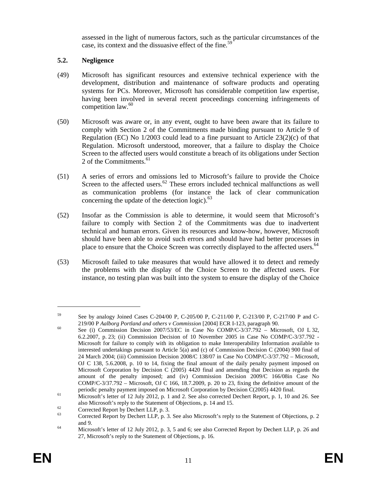assessed in the light of numerous factors, such as the particular circumstances of the case, its context and the dissuasive effect of the fine.<sup>59</sup>

#### **5.2. Negligence**

- (49) Microsoft has significant resources and extensive technical experience with the development, distribution and maintenance of software products and operating systems for PCs. Moreover, Microsoft has considerable competition law expertise, having been involved in several recent proceedings concerning infringements of competition law. 60
- (50) Microsoft was aware or, in any event, ought to have been aware that its failure to comply with Section 2 of the Commitments made binding pursuant to Article 9 of Regulation (EC) No  $1/2003$  could lead to a fine pursuant to Article  $23(2)(c)$  of that Regulation. Microsoft understood, moreover, that a failure to display the Choice Screen to the affected users would constitute a breach of its obligations under Section 2 of the Commitments. 61
- (51) A series of errors and omissions led to Microsoft's failure to provide the Choice Screen to the affected users.<sup>62</sup> These errors included technical malfunctions as well as communication problems (for instance the lack of clear communication concerning the update of the detection logic).<sup>63</sup>
- (52) Insofar as the Commission is able to determine, it would seem that Microsoft's failure to comply with Section 2 of the Commitments was due to inadvertent technical and human errors. Given its resources and know-how, however, Microsoft should have been able to avoid such errors and should have had better processes in place to ensure that the Choice Screen was correctly displayed to the affected users.<sup>64</sup>
- (53) Microsoft failed to take measures that would have allowed it to detect and remedy the problems with the display of the Choice Screen to the affected users. For instance, no testing plan was built into the system to ensure the display of the Choice

<sup>59</sup> See by analogy Joined Cases C-204/00 P, C-205/00 P, C-211/00 P, C-213/00 P, C-217/00 P and C-219/00 P *Aalborg Portland and others v Commission* [2004] ECR I-123, paragraph 90.

<sup>&</sup>lt;sup>60</sup> See (i) Commission Decision 2007/53/EC in Case No COMP/C-3/37.792 – Microsoft, OJ L 32, 6.2.2007, p. 23; (ii) Commission Decision of 10 November 2005 in Case No COMP/C-3/37.792 - Microsoft for failure to comply with its obligation to make Interoperability Information available to interested undertakings pursuant to Article 5(a) and (c) of Commission Decision C (2004) 900 final of 24 March 2004; (iii) Commission Decision 2008/C 138/07 in Case No COMP/C-3/37.792 – Microsoft, OJ C 138, 5.6.2008, p. 10 to 14, fixing the final amount of the daily penalty payment imposed on Microsoft Corporation by Decision C (2005) 4420 final and amending that Decision as regards the amount of the penalty imposed; and (iv) Commission Decision 2009/C 166/08in Case No COMP/C-3/37.792 – Microsoft, OJ C 166, 18.7.2009, p. 20 to 23, fixing the definitive amount of the periodic penalty payment imposed on Microsoft Corporation by Decision C(2005) 4420 final.

<sup>&</sup>lt;sup>61</sup> Microsoft's letter of 12 July 2012, p. 1 and 2. See also corrected Dechert Report, p. 1, 10 and 26. See also Microsoft's reply to the Statement of Objections, p. 14 and 15.

 $^{62}$  Corrected Report by Dechert LLP, p. 3.

<sup>63</sup> Corrected Report by Dechert LLP, p. 3. See also Microsoft's reply to the Statement of Objections, p. 2 and 9.

<sup>&</sup>lt;sup>64</sup> Microsoft's letter of 12 July 2012, p. 3, 5 and 6; see also Corrected Report by Dechert LLP, p. 26 and 27, Microsoft's reply to the Statement of Objections, p. 16.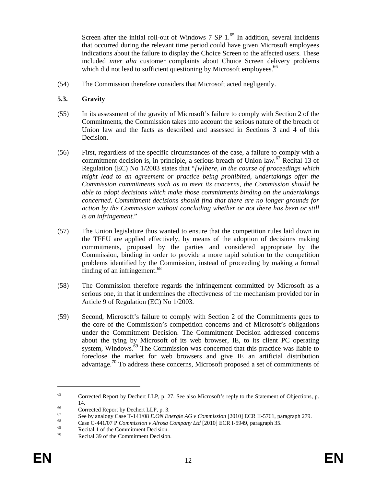Screen after the initial roll-out of Windows  $7$  SP  $1<sup>65</sup>$  In addition, several incidents that occurred during the relevant time period could have given Microsoft employees indications about the failure to display the Choice Screen to the affected users. These included *inter alia* customer complaints about Choice Screen delivery problems which did not lead to sufficient questioning by Microsoft employees.<sup>66</sup>

(54) The Commission therefore considers that Microsoft acted negligently.

#### **5.3. Gravity**

- (55) In its assessment of the gravity of Microsoft's failure to comply with Section 2 of the Commitments, the Commission takes into account the serious nature of the breach of Union law and the facts as described and assessed in Sections 3 and 4 of this Decision.
- (56) First, regardless of the specific circumstances of the case, a failure to comply with a commitment decision is, in principle, a serious breach of Union law.<sup>67</sup> Recital 13 of Regulation (EC) No 1/2003 states that "*[w]here, in the course of proceedings which might lead to an agreement or practice being prohibited, undertakings offer the Commission commitments such as to meet its concerns, the Commission should be able to adopt decisions which make those commitments binding on the undertakings concerned. Commitment decisions should find that there are no longer grounds for action by the Commission without concluding whether or not there has been or still is an infringement*."
- (57) The Union legislature thus wanted to ensure that the competition rules laid down in the TFEU are applied effectively, by means of the adoption of decisions making commitments, proposed by the parties and considered appropriate by the Commission, binding in order to provide a more rapid solution to the competition problems identified by the Commission, instead of proceeding by making a formal finding of an infringement. $68$
- (58) The Commission therefore regards the infringement committed by Microsoft as a serious one, in that it undermines the effectiveness of the mechanism provided for in Article 9 of Regulation (EC) No 1/2003.
- (59) Second, Microsoft's failure to comply with Section 2 of the Commitments goes to the core of the Commission's competition concerns and of Microsoft's obligations under the Commitment Decision. The Commitment Decision addressed concerns about the tying by Microsoft of its web browser, IE, to its client PC operating system, Windows.<sup>69</sup> The Commission was concerned that this practice was liable to foreclose the market for web browsers and give IE an artificial distribution advantage.<sup>70</sup> To address these concerns, Microsoft proposed a set of commitments of

<sup>65</sup> Corrected Report by Dechert LLP, p. 27. See also Microsoft's reply to the Statement of Objections, p. 14.

 $^{66}$  Corrected Report by Dechert LLP, p. 3.

<sup>67</sup> See by analogy Case T-141/08 *E.ON Energie AG v Commission* [2010] ECR II-5761, paragraph 279.

<sup>68</sup> Case C-441/07 P *Commission v Alrosa Company Ltd* [2010] ECR I-5949, paragraph 35.

 $\frac{69}{70}$  Recital 1 of the Commitment Decision.

Recital 39 of the Commitment Decision.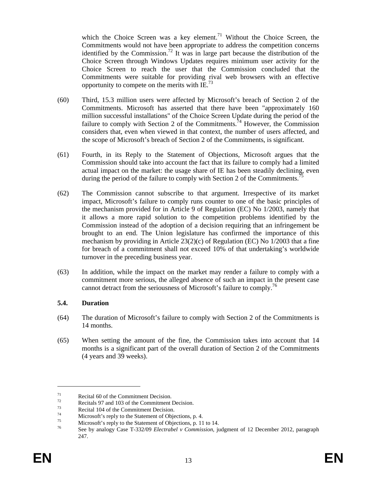which the Choice Screen was a key element.<sup>71</sup> Without the Choice Screen, the Commitments would not have been appropriate to address the competition concerns identified by the Commission.<sup>72</sup> It was in large part because the distribution of the Choice Screen through Windows Updates requires minimum user activity for the Choice Screen to reach the user that the Commission concluded that the Commitments were suitable for providing rival web browsers with an effective opportunity to compete on the merits with IE.<sup>73</sup>

- (60) Third, 15.3 million users were affected by Microsoft's breach of Section 2 of the Commitments. Microsoft has asserted that there have been "approximately 160 million successful installations" of the Choice Screen Update during the period of the failure to comply with Section 2 of the Commitments.<sup> $74$ </sup> However, the Commission considers that, even when viewed in that context, the number of users affected, and the scope of Microsoft's breach of Section 2 of the Commitments, is significant.
- (61) Fourth, in its Reply to the Statement of Objections, Microsoft argues that the Commission should take into account the fact that its failure to comply had a limited actual impact on the market: the usage share of IE has been steadily declining, even during the period of the failure to comply with Section 2 of the Commitments.<sup>75</sup>
- (62) The Commission cannot subscribe to that argument. Irrespective of its market impact, Microsoft's failure to comply runs counter to one of the basic principles of the mechanism provided for in Article 9 of Regulation (EC) No 1/2003, namely that it allows a more rapid solution to the competition problems identified by the Commission instead of the adoption of a decision requiring that an infringement be brought to an end. The Union legislature has confirmed the importance of this mechanism by providing in Article  $23(2)(c)$  of Regulation (EC) No 1/2003 that a fine for breach of a commitment shall not exceed 10% of that undertaking's worldwide turnover in the preceding business year.
- (63) In addition, while the impact on the market may render a failure to comply with a commitment more serious, the alleged absence of such an impact in the present case cannot detract from the seriousness of Microsoft's failure to comply.<sup>76</sup>

#### **5.4. Duration**

- (64) The duration of Microsoft's failure to comply with Section 2 of the Commitments is 14 months.
- (65) When setting the amount of the fine, the Commission takes into account that 14 months is a significant part of the overall duration of Section 2 of the Commitments (4 years and 39 weeks).

 $7<sup>71</sup>$  Recital 60 of the Commitment Decision.

 $\frac{72}{73}$  Recitals 97 and 103 of the Commitment Decision.

 $73$  Recital 104 of the Commitment Decision.

 $^{74}$  Microsoft's reply to the Statement of Objections, p. 4.

 $\frac{75}{76}$  Microsoft's reply to the Statement of Objections, p. 11 to 14.

<sup>76</sup> See by analogy Case T-332/09 *Electrabel v Commission*, judgment of 12 December 2012, paragraph 247.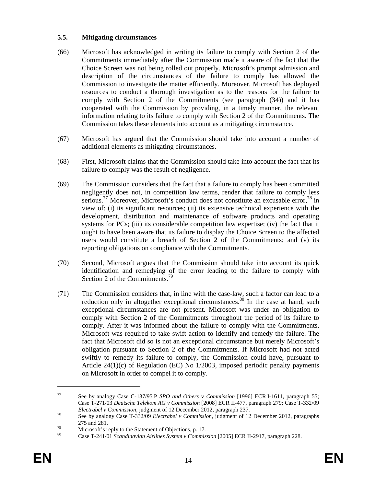#### **5.5. Mitigating circumstances**

- (66) Microsoft has acknowledged in writing its failure to comply with Section 2 of the Commitments immediately after the Commission made it aware of the fact that the Choice Screen was not being rolled out properly. Microsoft's prompt admission and description of the circumstances of the failure to comply has allowed the Commission to investigate the matter efficiently. Moreover, Microsoft has deployed resources to conduct a thorough investigation as to the reasons for the failure to comply with Section 2 of the Commitments (see paragraph (34)) and it has cooperated with the Commission by providing, in a timely manner, the relevant information relating to its failure to comply with Section 2 of the Commitments. The Commission takes these elements into account as a mitigating circumstance.
- (67) Microsoft has argued that the Commission should take into account a number of additional elements as mitigating circumstances.
- (68) First, Microsoft claims that the Commission should take into account the fact that its failure to comply was the result of negligence.
- (69) The Commission considers that the fact that a failure to comply has been committed negligently does not, in competition law terms, render that failure to comply less serious.<sup>77</sup> Moreover, Microsoft's conduct does not constitute an excusable error,<sup>78</sup> in view of: (i) its significant resources; (ii) its extensive technical experience with the development, distribution and maintenance of software products and operating systems for PCs; (iii) its considerable competition law expertise; (iv) the fact that it ought to have been aware that its failure to display the Choice Screen to the affected users would constitute a breach of Section 2 of the Commitments; and (v) its reporting obligations on compliance with the Commitments.
- (70) Second, Microsoft argues that the Commission should take into account its quick identification and remedying of the error leading to the failure to comply with Section 2 of the Commitments. 79
- (71) The Commission considers that, in line with the case-law, such a factor can lead to a reduction only in altogether exceptional circumstances. $80$  In the case at hand, such exceptional circumstances are not present. Microsoft was under an obligation to comply with Section 2 of the Commitments throughout the period of its failure to comply. After it was informed about the failure to comply with the Commitments, Microsoft was required to take swift action to identify and remedy the failure. The fact that Microsoft did so is not an exceptional circumstance but merely Microsoft's obligation pursuant to Section 2 of the Commitments. If Microsoft had not acted swiftly to remedy its failure to comply, the Commission could have, pursuant to Article 24(1)(c) of Regulation (EC) No 1/2003, imposed periodic penalty payments on Microsoft in order to compel it to comply.

<sup>77</sup> See by analogy Case C-137/95 P *SPO and Others* v *Commission* [1996] ECR I-1611, paragraph 55; Case T-271/03 *Deutsche Telekom AG v Commission* [2008] ECR II-477, paragraph 279; Case T-332/09 *Electrabel v Commission*, judgment of 12 December 2012, paragraph 237.

<sup>78</sup> See by analogy Case T-332/09 *Electrabel v Commission*, judgment of 12 December 2012, paragraphs 275 and 281.

 $^{79}$  Microsoft's reply to the Statement of Objections, p. 17.

<sup>80</sup> Case T-241/01 *Scandinavian Airlines System v Commission* [2005] ECR II-2917, paragraph 228.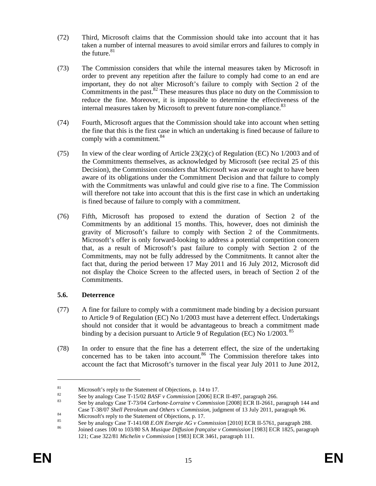- (72) Third, Microsoft claims that the Commission should take into account that it has taken a number of internal measures to avoid similar errors and failures to comply in the future. $81$
- (73) The Commission considers that while the internal measures taken by Microsoft in order to prevent any repetition after the failure to comply had come to an end are important, they do not alter Microsoft's failure to comply with Section 2 of the Commitments in the past. $82$  These measures thus place no duty on the Commission to reduce the fine. Moreover, it is impossible to determine the effectiveness of the internal measures taken by Microsoft to prevent future non-compliance.<sup>83</sup>
- (74) Fourth, Microsoft argues that the Commission should take into account when setting the fine that this is the first case in which an undertaking is fined because of failure to comply with a commitment.<sup>84</sup>
- (75) In view of the clear wording of Article  $23(2)(c)$  of Regulation (EC) No  $1/2003$  and of the Commitments themselves, as acknowledged by Microsoft (see recital 25 of this Decision), the Commission considers that Microsoft was aware or ought to have been aware of its obligations under the Commitment Decision and that failure to comply with the Commitments was unlawful and could give rise to a fine. The Commission will therefore not take into account that this is the first case in which an undertaking is fined because of failure to comply with a commitment.
- (76) Fifth, Microsoft has proposed to extend the duration of Section 2 of the Commitments by an additional 15 months. This, however, does not diminish the gravity of Microsoft's failure to comply with Section 2 of the Commitments. Microsoft's offer is only forward-looking to address a potential competition concern that, as a result of Microsoft's past failure to comply with Section 2 of the Commitments, may not be fully addressed by the Commitments. It cannot alter the fact that, during the period between 17 May 2011 and 16 July 2012, Microsoft did not display the Choice Screen to the affected users, in breach of Section 2 of the Commitments.

#### **5.6. Deterrence**

- (77) A fine for failure to comply with a commitment made binding by a decision pursuant to Article 9 of Regulation (EC) No 1/2003 must have a deterrent effect. Undertakings should not consider that it would be advantageous to breach a commitment made binding by a decision pursuant to Article 9 of Regulation (EC) No 1/2003.<sup>85</sup>
- (78) In order to ensure that the fine has a deterrent effect, the size of the undertaking concerned has to be taken into account.<sup>86</sup> The Commission therefore takes into account the fact that Microsoft's turnover in the fiscal year July 2011 to June 2012,

<sup>&</sup>lt;sup>81</sup><br>Microsoft's reply to the Statement of Objections, p. 14 to 17.

<sup>82</sup> See by analogy Case T-15/02 *BASF v Commission* [2006] ECR II-497, paragraph 266.

<sup>83</sup> See by analogy Case T-73/04 *Carbone-Lorraine* v *Commission* [2008] ECR II-2661, paragraph 144 and Case T-38/07 *Shell Petroleum and Others* v *Commission*, judgment of 13 July 2011, paragraph 96.

<sup>&</sup>lt;sup>84</sup><br>Microsoft's reply to the Statement of Objections, p. 17.<br> $^{85}$ 

<sup>85</sup> See by analogy Case T-141/08 *E.ON Energie AG v Commission* [2010] ECR II-5761, paragraph 288.

<sup>86</sup> Joined cases 100 to 103/80 SA *Musique Diffusion française v Commission* [1983] ECR 1825, paragraph 121; Case 322/81 *Michelin v Commission* [1983] ECR 3461, paragraph 111.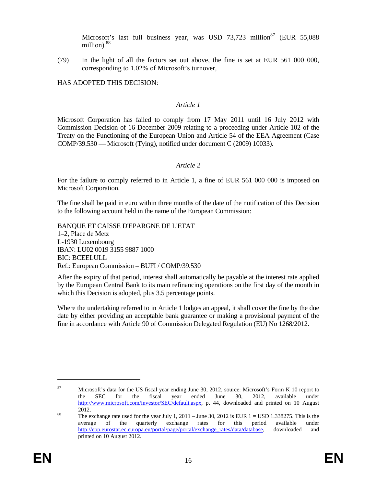Microsoft's last full business year, was USD 73,723 million<sup>87</sup> (EUR 55,088) million).<sup>88</sup>

(79) In the light of all the factors set out above, the fine is set at EUR 561 000 000, corresponding to 1.02% of Microsoft's turnover,

HAS ADOPTED THIS DECISION:

#### *Article 1*

Microsoft Corporation has failed to comply from 17 May 2011 until 16 July 2012 with Commission Decision of 16 December 2009 relating to a proceeding under Article 102 of the Treaty on the Functioning of the European Union and Article 54 of the EEA Agreement (Case COMP/39.530 — Microsoft (Tying), notified under document C (2009) 10033).

#### *Article 2*

For the failure to comply referred to in Article 1, a fine of EUR 561 000 000 is imposed on Microsoft Corporation.

The fine shall be paid in euro within three months of the date of the notification of this Decision to the following account held in the name of the European Commission:

BANQUE ET CAISSE D'EPARGNE DE L'ETAT 1–2, Place de Metz L-1930 Luxembourg IBAN: LU02 0019 3155 9887 1000 BIC: BCEELULL Ref.: European Commission – BUFI / COMP/39.530

After the expiry of that period, interest shall automatically be payable at the interest rate applied by the European Central Bank to its main refinancing operations on the first day of the month in which this Decision is adopted, plus 3.5 percentage points.

Where the undertaking referred to in Article 1 lodges an appeal, it shall cover the fine by the due date by either providing an acceptable bank guarantee or making a provisional payment of the fine in accordance with Article 90 of Commission Delegated Regulation (EU) No 1268/2012.

<sup>87</sup> Microsoft's data for the US fiscal year ending June 30, 2012, source: Microsoft's Form K 10 report to the SEC for the fiscal year ended June 30, 2012, available under http://www.microsoft.com/investor/SEC/default.aspx, p. 44, downloaded and printed on 10 August 2012.

<sup>&</sup>lt;sup>88</sup> The exchange rate used for the year July 1, 2011 – June 30, 2012 is EUR  $1 =$  USD 1.338275. This is the average of the quarterly exchange rates for this period available under http://epp.eurostat.ec.europa.eu/portal/page/portal/exchange\_rates/data/database, downloaded and printed on 10 August 2012.